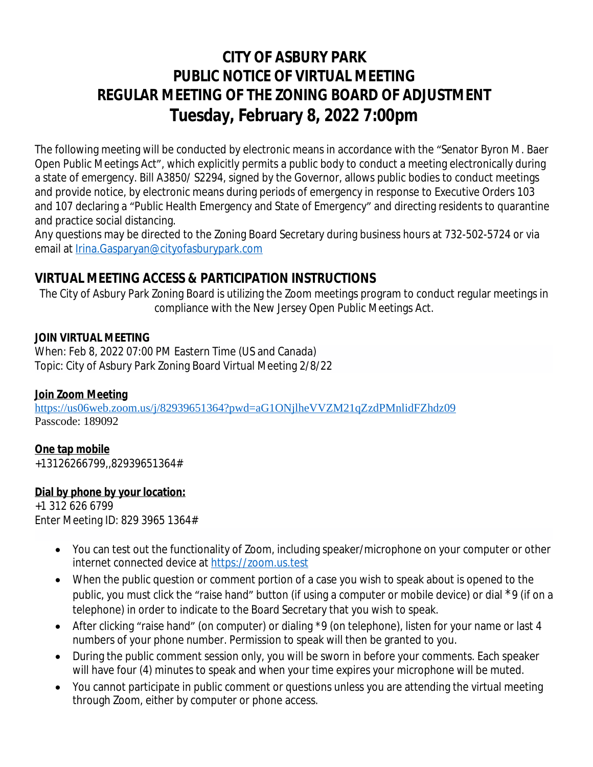# **CITY OF ASBURY PARK PUBLIC NOTICE OF VIRTUAL MEETING REGULAR MEETING OF THE ZONING BOARD OF ADJUSTMENT Tuesday, February 8, 2022 7:00pm**

The following meeting will be conducted by electronic means in accordance with the "Senator Byron M. Baer Open Public Meetings Act", which explicitly permits a public body to conduct a meeting electronically during a state of emergency. Bill A3850/ [S2294](https://www.njleg.state.nj.us/wmobile/BillViewwml.asp?varBillNumbr=S2294), signed by the Governor, allows public bodies to conduct meetings and provide notice, by electronic means during periods of emergency in response to Executive Orders 103 and 107 declaring a "Public Health Emergency and State of Emergency" and directing residents to quarantine and practice social distancing.

Any questions may be directed to the Zoning Board Secretary during business hours at 732-502-5724 or via email at [Irina.Gasparyan@cityofasburypark.com](mailto:Irina.Gasparyan@cityofasburypark.com)

## **[VIRTUAL MEETING ACCESS & PARTICIPATION INSTRUCTIONS](mailto:Irina.Gasparyan@cityofasburypark.com)**

[The City of Asbury Park](mailto:Irina.Gasparyan@cityofasburypark.com) [Zoning Board is utilizing the Zoom meetings program to conduct regular](mailto:Irina.Gasparyan@cityofasburypark.com) [meetings in](mailto:Irina.Gasparyan@cityofasburypark.com) [compliance with the New Jersey Open Public Meetings Act.](mailto:Irina.Gasparyan@cityofasburypark.com)

### **[JOIN VIRTUAL MEETING](mailto:Irina.Gasparyan@cityofasburypark.com)**

[When: Feb 8, 2022 07:00 PM Eastern Time \(US and Canada\)](mailto:Irina.Gasparyan@cityofasburypark.com) [Topic: City of Asbury Park Zoning Board Virtual Meeting 2/8/22](mailto:Irina.Gasparyan@cityofasburypark.com)

## **[Join Zoom Meeting](mailto:Irina.Gasparyan@cityofasburypark.com)**

<https://us06web.zoom.us/j/82939651364?pwd=aG1ONjlheVVZM21qZzdPMnlidFZhdz09> Passcode: 189092

## **One tap mobile**

+13126266799,,82939651364#

## **Dial by phone by your location:**

+1 312 626 6799 Enter Meeting ID: 829 3965 1364#

- You can test out the functionality of Zoom, including speaker/microphone on your computer or other internet connected device at <https://zoom.us.test>
- When the public question or comment portion of a case you wish to speak about is opened to the public, you must click the "raise hand" button (if using a computer or mobile device) or dial \*9 (if on a telephone) in order to indicate to the Board Secretary that you wish to speak.
- After clicking "raise hand" (on computer) or dialing \*9 (on telephone), listen for your name or last 4 numbers of your phone number. Permission to speak will then be granted to you.
- During the public comment session only, you will be sworn in before your comments. Each speaker will have four (4) minutes to speak and when your time expires your microphone will be muted.
- You cannot participate in public comment or questions unless you are attending the virtual meeting through Zoom, either by computer or phone access.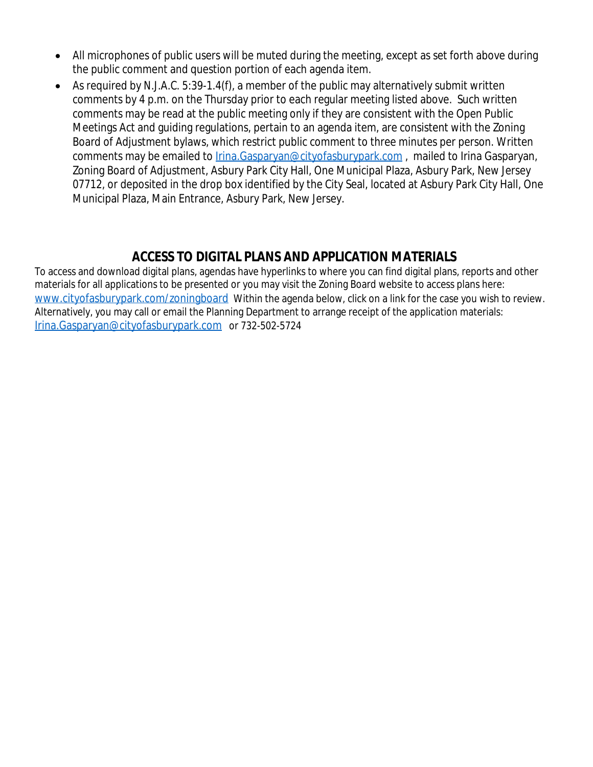- All microphones of public users will be muted during the meeting, except as set forth above during the public comment and question portion of each agenda item.
- $\bullet$  As required by N.J.A.C. 5:39-1.4(f), a member of the public may alternatively submit written comments by 4 p.m. on the Thursday prior to each regular meeting listed above. Such written comments may be read at the public meeting only if they are consistent with the Open Public Meetings Act and guiding regulations, pertain to an agenda item, are consistent with the Zoning Board of Adjustment bylaws, which restrict public comment to three minutes per person. Written comments may be emailed to *[Irina.Gasparyan@cityofasburypark.com](mailto:Irina.Gasparyan@cityofasburypark.com)*, mailed to Irina Gasparyan, [Zoning Board of Adjustment, Asbury Park City Hall, One Municipal Plaza, Asbury Park, New Jersey](mailto:Irina.Gasparyan@cityofasburypark.com)  [07712, or deposited in the drop box identified by the City Seal, located at Asbury Park City Hall, One](mailto:Irina.Gasparyan@cityofasburypark.com)  [Municipal Plaza, Main Entrance, Asbury Park, New Jersey.](mailto:Irina.Gasparyan@cityofasburypark.com)

## **[ACCESS TO DIGITAL PLANS AND APPLICATION MATERIALS](mailto:Irina.Gasparyan@cityofasburypark.com)**

[To access and download digital plans, agendas have hyperlinks to where you can find digital plans, reports and other](mailto:Irina.Gasparyan@cityofasburypark.com)  [materials for all applications to be presented or you may visit the Zoning Board website to access plans here:](mailto:Irina.Gasparyan@cityofasburypark.com)  [www.cityofasburypark.com/zoningboard](http://www.cityofasburypark.com/zoningboard) Within the agenda below, click on a link for the case you wish to review. Alternatively, you may call or email the Planning Department to arrange receipt of the application materials: [Irina.Gasparyan@cityofasburypark.com](mailto:Irina.Gasparyan@cityofasburypark.com) [or 732-502-5724](mailto:Irina.Gasparyan@cityofasburypark.com)